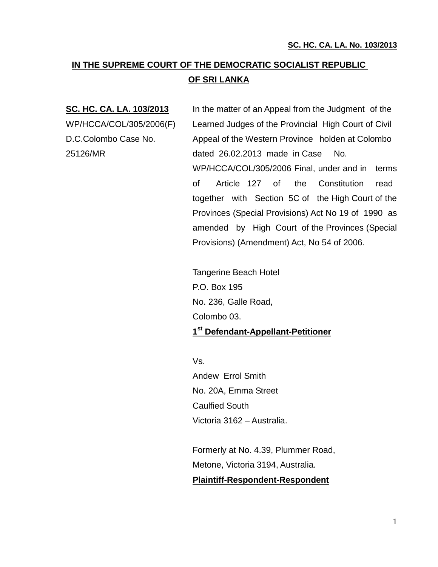# **IN THE SUPREME COURT OF THE DEMOCRATIC SOCIALIST REPUBLIC OF SRI LANKA**

**SC. HC. CA. LA. 103/2013** In the matter of an Appeal from the Judgment of the WP/HCCA/COL/305/2006(F) Learned Judges of the Provincial High Court of Civil D.C.Colombo Case No. Appeal of the Western Province holden at Colombo 25126/MR dated 26.02.2013 made in Case No. WP/HCCA/COL/305/2006 Final, under and in terms of Article 127 of the Constitution read together with Section 5C of the High Court of the Provinces (Special Provisions) Act No 19 of 1990 as amended by High Court of the Provinces (Special Provisions) (Amendment) Act, No 54 of 2006.

> Tangerine Beach Hotel P.O. Box 195 No. 236, Galle Road, Colombo 03. **1 st Defendant-Appellant-Petitioner**

Vs. Andew Errol Smith No. 20A, Emma Street Caulfied South Victoria 3162 – Australia.

Formerly at No. 4.39, Plummer Road, Metone, Victoria 3194, Australia. **Plaintiff-Respondent-Respondent**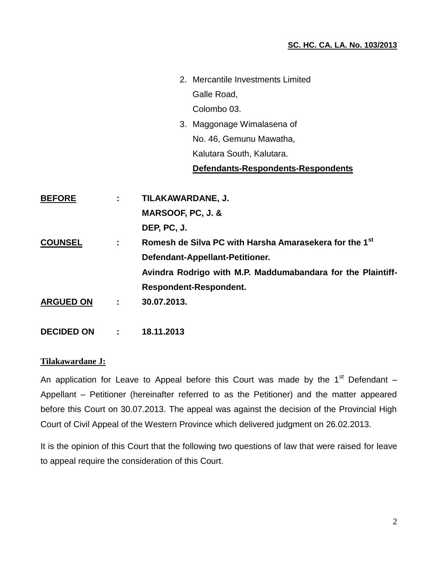- 2. Mercantile Investments Limited Galle Road, Colombo 03.
- 3. Maggonage Wimalasena of No. 46, Gemunu Mawatha, Kalutara South, Kalutara.

## **Defendants-Respondents-Respondents**

| <b>BEFORE</b>    |   | TILAKAWARDANE, J.                                                  |
|------------------|---|--------------------------------------------------------------------|
|                  |   | MARSOOF, PC, J. &                                                  |
|                  |   | DEP, PC, J.                                                        |
| <b>COUNSEL</b>   | ÷ | Romesh de Silva PC with Harsha Amarasekera for the 1 <sup>st</sup> |
|                  |   | Defendant-Appellant-Petitioner.                                    |
|                  |   | Avindra Rodrigo with M.P. Maddumabandara for the Plaintiff-        |
|                  |   | <b>Respondent-Respondent.</b>                                      |
| <b>ARGUED ON</b> | ÷ | 30.07.2013.                                                        |
|                  |   |                                                                    |

**DECIDED ON : 18.11.2013**

## **Tilakawardane J:**

An application for Leave to Appeal before this Court was made by the  $1<sup>st</sup>$  Defendant – Appellant – Petitioner (hereinafter referred to as the Petitioner) and the matter appeared before this Court on 30.07.2013. The appeal was against the decision of the Provincial High Court of Civil Appeal of the Western Province which delivered judgment on 26.02.2013.

It is the opinion of this Court that the following two questions of law that were raised for leave to appeal require the consideration of this Court.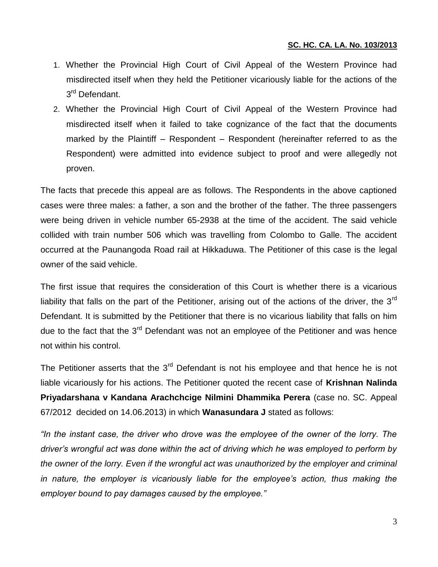- 1. Whether the Provincial High Court of Civil Appeal of the Western Province had misdirected itself when they held the Petitioner vicariously liable for the actions of the 3<sup>rd</sup> Defendant.
- 2. Whether the Provincial High Court of Civil Appeal of the Western Province had misdirected itself when it failed to take cognizance of the fact that the documents marked by the Plaintiff – Respondent – Respondent (hereinafter referred to as the Respondent) were admitted into evidence subject to proof and were allegedly not proven.

The facts that precede this appeal are as follows. The Respondents in the above captioned cases were three males: a father, a son and the brother of the father. The three passengers were being driven in vehicle number 65-2938 at the time of the accident. The said vehicle collided with train number 506 which was travelling from Colombo to Galle. The accident occurred at the Paunangoda Road rail at Hikkaduwa. The Petitioner of this case is the legal owner of the said vehicle.

The first issue that requires the consideration of this Court is whether there is a vicarious liability that falls on the part of the Petitioner, arising out of the actions of the driver, the  $3<sup>rd</sup>$ Defendant. It is submitted by the Petitioner that there is no vicarious liability that falls on him due to the fact that the 3<sup>rd</sup> Defendant was not an employee of the Petitioner and was hence not within his control.

The Petitioner asserts that the 3<sup>rd</sup> Defendant is not his employee and that hence he is not liable vicariously for his actions. The Petitioner quoted the recent case of **Krishnan Nalinda Priyadarshana v Kandana Arachchcige Nilmini Dhammika Perera** (case no. SC. Appeal 67/2012 decided on 14.06.2013) in which **Wanasundara J** stated as follows:

*"In the instant case, the driver who drove was the employee of the owner of the lorry. The driver's wrongful act was done within the act of driving which he was employed to perform by the owner of the lorry. Even if the wrongful act was unauthorized by the employer and criminal*  in nature, the employer is vicariously liable for the employee's action, thus making the *employer bound to pay damages caused by the employee."*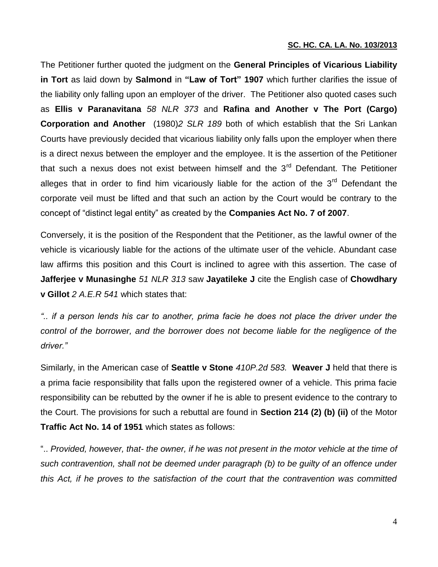The Petitioner further quoted the judgment on the **General Principles of Vicarious Liability in Tort** as laid down by **Salmond** in **"Law of Tort" 1907** which further clarifies the issue of the liability only falling upon an employer of the driver. The Petitioner also quoted cases such as **Ellis v Paranavitana** *58 NLR 373* and **Rafina and Another v The Port (Cargo) Corporation and Another** (1980)*2 SLR 189* both of which establish that the Sri Lankan Courts have previously decided that vicarious liability only falls upon the employer when there is a direct nexus between the employer and the employee. It is the assertion of the Petitioner that such a nexus does not exist between himself and the  $3<sup>rd</sup>$  Defendant. The Petitioner alleges that in order to find him vicariously liable for the action of the  $3<sup>rd</sup>$  Defendant the corporate veil must be lifted and that such an action by the Court would be contrary to the concept of "distinct legal entity" as created by the **Companies Act No. 7 of 2007**.

Conversely, it is the position of the Respondent that the Petitioner, as the lawful owner of the vehicle is vicariously liable for the actions of the ultimate user of the vehicle. Abundant case law affirms this position and this Court is inclined to agree with this assertion. The case of **Jafferjee v Munasinghe** *51 NLR 313* saw **Jayatileke J** cite the English case of **Chowdhary v Gillot** *2 A.E.R 541* which states that:

*".. if a person lends his car to another, prima facie he does not place the driver under the*  control of the borrower, and the borrower does not become liable for the negligence of the *driver."*

Similarly, in the American case of **Seattle v Stone** *410P.2d 583.* **Weaver J** held that there is a prima facie responsibility that falls upon the registered owner of a vehicle. This prima facie responsibility can be rebutted by the owner if he is able to present evidence to the contrary to the Court. The provisions for such a rebuttal are found in **Section 214 (2) (b) (ii)** of the Motor **Traffic Act No. 14 of 1951** which states as follows:

".. *Provided, however, that- the owner, if he was not present in the motor vehicle at the time of such contravention, shall not be deemed under paragraph (b) to be guilty of an offence under this Act, if he proves to the satisfaction of the court that the contravention was committed*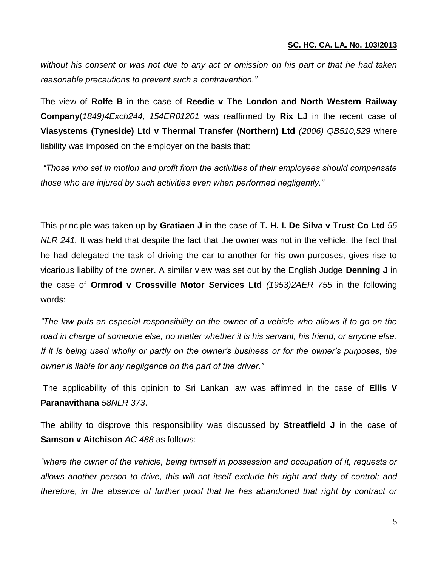*without his consent or was not due to any act or omission on his part or that he had taken reasonable precautions to prevent such a contravention."*

The view of **Rolfe B** in the case of **Reedie v The London and North Western Railway Company**(*1849)4Exch244, 154ER01201* was reaffirmed by **Rix LJ** in the recent case of **Viasystems (Tyneside) Ltd v Thermal Transfer (Northern) Ltd** *(2006) QB510,529* where liability was imposed on the employer on the basis that:

*"Those who set in motion and profit from the activities of their employees should compensate those who are injured by such activities even when performed negligently."*

This principle was taken up by **Gratiaen J** in the case of **T. H. I. De Silva v Trust Co Ltd** *55 NLR 241.* It was held that despite the fact that the owner was not in the vehicle, the fact that he had delegated the task of driving the car to another for his own purposes, gives rise to vicarious liability of the owner. A similar view was set out by the English Judge **Denning J** in the case of **Ormrod v Crossville Motor Services Ltd** *(1953)2AER 755* in the following words:

*"The law puts an especial responsibility on the owner of a vehicle who allows it to go on the road in charge of someone else, no matter whether it is his servant, his friend, or anyone else. If it is being used wholly or partly on the owner's business or for the owner's purposes, the owner is liable for any negligence on the part of the driver."*

The applicability of this opinion to Sri Lankan law was affirmed in the case of **Ellis V Paranavithana** *58NLR 373*.

The ability to disprove this responsibility was discussed by **Streatfield J** in the case of **Samson v Aitchison** *AC 488* as follows:

*"where the owner of the vehicle, being himself in possession and occupation of it, requests or allows another person to drive, this will not itself exclude his right and duty of control; and therefore, in the absence of further proof that he has abandoned that right by contract or*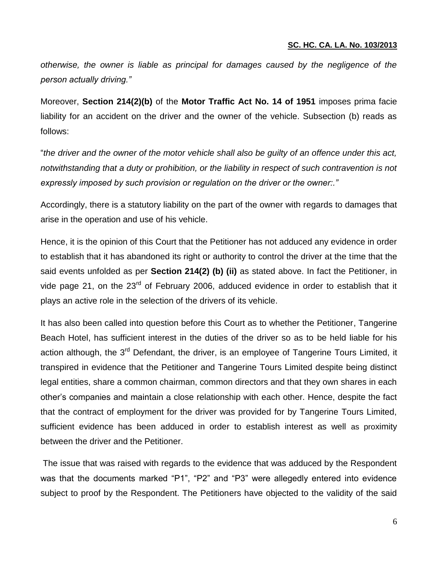*otherwise, the owner is liable as principal for damages caused by the negligence of the person actually driving."*

Moreover, **Section 214(2)(b)** of the **Motor Traffic Act No. 14 of 1951** imposes prima facie liability for an accident on the driver and the owner of the vehicle. Subsection (b) reads as follows:

"*the driver and the owner of the motor vehicle shall also be guilty of an offence under this act, notwithstanding that a duty or prohibition, or the liability in respect of such contravention is not expressly imposed by such provision or regulation on the driver or the owner:."*

Accordingly, there is a statutory liability on the part of the owner with regards to damages that arise in the operation and use of his vehicle.

Hence, it is the opinion of this Court that the Petitioner has not adduced any evidence in order to establish that it has abandoned its right or authority to control the driver at the time that the said events unfolded as per **Section 214(2) (b) (ii)** as stated above. In fact the Petitioner, in vide page 21, on the 23<sup>rd</sup> of February 2006, adduced evidence in order to establish that it plays an active role in the selection of the drivers of its vehicle.

It has also been called into question before this Court as to whether the Petitioner, Tangerine Beach Hotel, has sufficient interest in the duties of the driver so as to be held liable for his action although, the 3<sup>rd</sup> Defendant, the driver, is an employee of Tangerine Tours Limited, it transpired in evidence that the Petitioner and Tangerine Tours Limited despite being distinct legal entities, share a common chairman, common directors and that they own shares in each other's companies and maintain a close relationship with each other. Hence, despite the fact that the contract of employment for the driver was provided for by Tangerine Tours Limited, sufficient evidence has been adduced in order to establish interest as well as proximity between the driver and the Petitioner.

The issue that was raised with regards to the evidence that was adduced by the Respondent was that the documents marked "P1", "P2" and "P3" were allegedly entered into evidence subject to proof by the Respondent. The Petitioners have objected to the validity of the said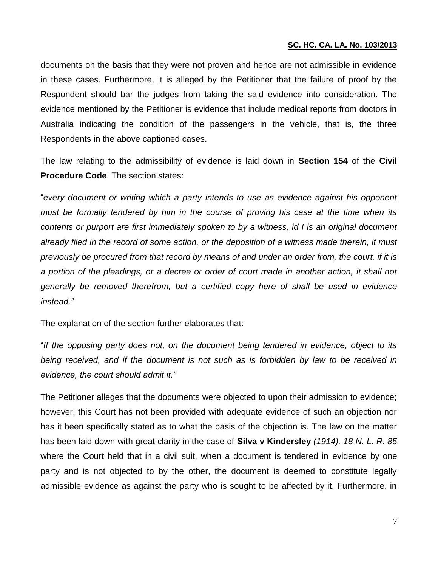documents on the basis that they were not proven and hence are not admissible in evidence in these cases. Furthermore, it is alleged by the Petitioner that the failure of proof by the Respondent should bar the judges from taking the said evidence into consideration. The evidence mentioned by the Petitioner is evidence that include medical reports from doctors in Australia indicating the condition of the passengers in the vehicle, that is, the three Respondents in the above captioned cases.

The law relating to the admissibility of evidence is laid down in **Section 154** of the **Civil Procedure Code**. The section states:

"*every document or writing which a party intends to use as evidence against his opponent must be formally tendered by him in the course of proving his case at the time when its contents or purport are first immediately spoken to by a witness, id I is an original document already filed in the record of some action, or the deposition of a witness made therein, it must previously be procured from that record by means of and under an order from, the court. if it is a portion of the pleadings, or a decree or order of court made in another action, it shall not generally be removed therefrom, but a certified copy here of shall be used in evidence instead."*

The explanation of the section further elaborates that:

"*If the opposing party does not, on the document being tendered in evidence, object to its*  being received, and if the document is not such as is forbidden by law to be received in *evidence, the court should admit it."*

The Petitioner alleges that the documents were objected to upon their admission to evidence; however, this Court has not been provided with adequate evidence of such an objection nor has it been specifically stated as to what the basis of the objection is. The law on the matter has been laid down with great clarity in the case of **Silva v Kindersley** *(1914). 18 N. L. R. 85*  where the Court held that in a civil suit, when a document is tendered in evidence by one party and is not objected to by the other, the document is deemed to constitute legally admissible evidence as against the party who is sought to be affected by it. Furthermore, in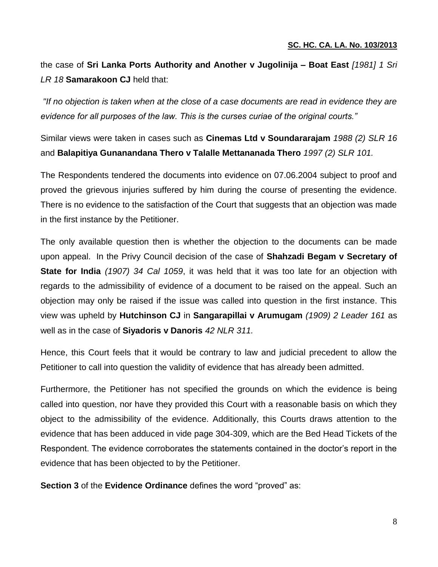the case of **Sri Lanka Ports Authority and Another v Jugolinija – Boat East** *[1981] 1 Sri LR 18* **Samarakoon CJ** held that:

*"If no objection is taken when at the close of a case documents are read in evidence they are evidence for all purposes of the law. This is the curses curiae of the original courts."*

Similar views were taken in cases such as **Cinemas Ltd v Soundararajam** *1988 (2) SLR 16* and **Balapitiya Gunanandana Thero v Talalle Mettananada Thero** *1997 (2) SLR 101.* 

The Respondents tendered the documents into evidence on 07.06.2004 subject to proof and proved the grievous injuries suffered by him during the course of presenting the evidence. There is no evidence to the satisfaction of the Court that suggests that an objection was made in the first instance by the Petitioner.

The only available question then is whether the objection to the documents can be made upon appeal. In the Privy Council decision of the case of **Shahzadi Begam v Secretary of State for India** *(1907) 34 Cal 1059*, it was held that it was too late for an objection with regards to the admissibility of evidence of a document to be raised on the appeal. Such an objection may only be raised if the issue was called into question in the first instance. This view was upheld by **Hutchinson CJ** in **Sangarapillai v Arumugam** *(1909) 2 Leader 161* as well as in the case of **Siyadoris v Danoris** *42 NLR 311.* 

Hence, this Court feels that it would be contrary to law and judicial precedent to allow the Petitioner to call into question the validity of evidence that has already been admitted.

Furthermore, the Petitioner has not specified the grounds on which the evidence is being called into question, nor have they provided this Court with a reasonable basis on which they object to the admissibility of the evidence. Additionally, this Courts draws attention to the evidence that has been adduced in vide page 304-309, which are the Bed Head Tickets of the Respondent. The evidence corroborates the statements contained in the doctor's report in the evidence that has been objected to by the Petitioner.

**Section 3** of the **Evidence Ordinance** defines the word "proved" as: